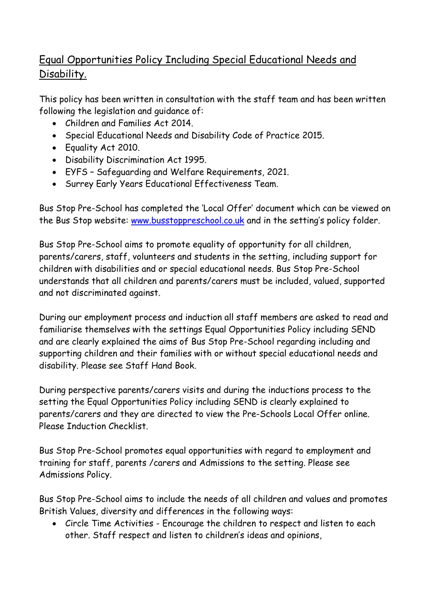## Equal Opportunities Policy Including Special Educational Needs and Disability.

This policy has been written in consultation with the staff team and has been written following the legislation and guidance of:

- Children and Families Act 2014.
- Special Educational Needs and Disability Code of Practice 2015.
- Equality Act 2010.
- Disability Discrimination Act 1995.
- EYFS Safeguarding and Welfare Requirements, 2021.
- Surrey Early Years Educational Effectiveness Team.

Bus Stop Pre-School has completed the 'Local Offer' document which can be viewed on the Bus Stop website: [www.busstoppreschool.co.uk](http://www.busstoppreschool.co.uk/) and in the setting's policy folder.

Bus Stop Pre-School aims to promote equality of opportunity for all children, parents/carers, staff, volunteers and students in the setting, including support for children with disabilities and or special educational needs. Bus Stop Pre-School understands that all children and parents/carers must be included, valued, supported and not discriminated against.

During our employment process and induction all staff members are asked to read and familiarise themselves with the settings Equal Opportunities Policy including SEND and are clearly explained the aims of Bus Stop Pre-School regarding including and supporting children and their families with or without special educational needs and disability. Please see Staff Hand Book.

During perspective parents/carers visits and during the inductions process to the setting the Equal Opportunities Policy including SEND is clearly explained to parents/carers and they are directed to view the Pre-Schools Local Offer online. Please Induction Checklist.

Bus Stop Pre-School promotes equal opportunities with regard to employment and training for staff, parents /carers and Admissions to the setting. Please see Admissions Policy.

Bus Stop Pre-School aims to include the needs of all children and values and promotes British Values, diversity and differences in the following ways:

• Circle Time Activities - Encourage the children to respect and listen to each other. Staff respect and listen to children's ideas and opinions,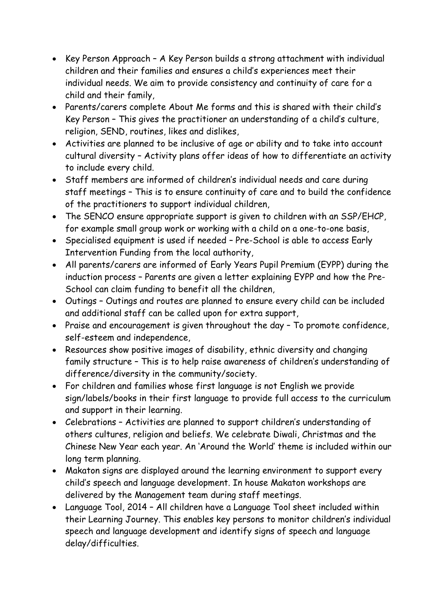- Key Person Approach A Key Person builds a strong attachment with individual children and their families and ensures a child's experiences meet their individual needs. We aim to provide consistency and continuity of care for a child and their family,
- Parents/carers complete About Me forms and this is shared with their child's Key Person – This gives the practitioner an understanding of a child's culture, religion, SEND, routines, likes and dislikes,
- Activities are planned to be inclusive of age or ability and to take into account cultural diversity – Activity plans offer ideas of how to differentiate an activity to include every child.
- Staff members are informed of children's individual needs and care during staff meetings – This is to ensure continuity of care and to build the confidence of the practitioners to support individual children,
- The SENCO ensure appropriate support is given to children with an SSP/EHCP, for example small group work or working with a child on a one-to-one basis,
- Specialised equipment is used if needed Pre-School is able to access Early Intervention Funding from the local authority,
- All parents/carers are informed of Early Years Pupil Premium (EYPP) during the induction process – Parents are given a letter explaining EYPP and how the Pre-School can claim funding to benefit all the children,
- Outings Outings and routes are planned to ensure every child can be included and additional staff can be called upon for extra support,
- Praise and encouragement is given throughout the day To promote confidence, self-esteem and independence,
- Resources show positive images of disability, ethnic diversity and changing family structure – This is to help raise awareness of children's understanding of difference/diversity in the community/society.
- For children and families whose first language is not English we provide sign/labels/books in their first language to provide full access to the curriculum and support in their learning.
- Celebrations Activities are planned to support children's understanding of others cultures, religion and beliefs. We celebrate Diwali, Christmas and the Chinese New Year each year. An 'Around the World' theme is included within our long term planning.
- Makaton signs are displayed around the learning environment to support every child's speech and language development. In house Makaton workshops are delivered by the Management team during staff meetings.
- Language Tool, 2014 All children have a Language Tool sheet included within their Learning Journey. This enables key persons to monitor children's individual speech and language development and identify signs of speech and language delay/difficulties.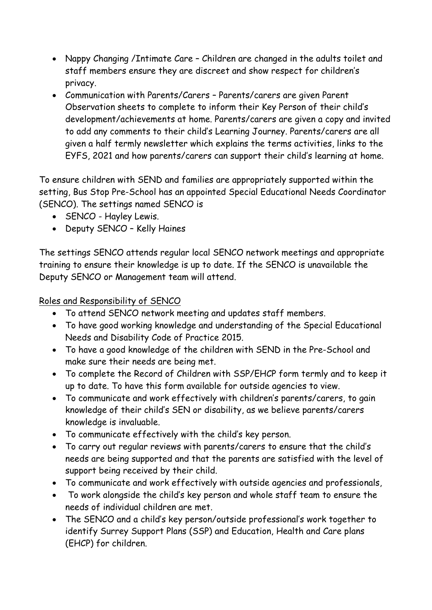- Nappy Changing /Intimate Care Children are changed in the adults toilet and staff members ensure they are discreet and show respect for children's privacy.
- Communication with Parents/Carers Parents/carers are given Parent Observation sheets to complete to inform their Key Person of their child's development/achievements at home. Parents/carers are given a copy and invited to add any comments to their child's Learning Journey. Parents/carers are all given a half termly newsletter which explains the terms activities, links to the EYFS, 2021 and how parents/carers can support their child's learning at home.

To ensure children with SEND and families are appropriately supported within the setting, Bus Stop Pre-School has an appointed Special Educational Needs Coordinator (SENCO). The settings named SENCO is

- SENCO Hayley Lewis.
- Deputy SENCO Kelly Haines

The settings SENCO attends regular local SENCO network meetings and appropriate training to ensure their knowledge is up to date. If the SENCO is unavailable the Deputy SENCO or Management team will attend.

## Roles and Responsibility of SENCO

- To attend SENCO network meeting and updates staff members.
- To have good working knowledge and understanding of the Special Educational Needs and Disability Code of Practice 2015.
- To have a good knowledge of the children with SEND in the Pre-School and make sure their needs are being met.
- To complete the Record of Children with SSP/EHCP form termly and to keep it up to date. To have this form available for outside agencies to view.
- To communicate and work effectively with children's parents/carers, to gain knowledge of their child's SEN or disability, as we believe parents/carers knowledge is invaluable.
- To communicate effectively with the child's key person.
- To carry out regular reviews with parents/carers to ensure that the child's needs are being supported and that the parents are satisfied with the level of support being received by their child.
- To communicate and work effectively with outside agencies and professionals,
- To work alongside the child's key person and whole staff team to ensure the needs of individual children are met.
- The SENCO and a child's key person/outside professional's work together to identify Surrey Support Plans (SSP) and Education, Health and Care plans (EHCP) for children.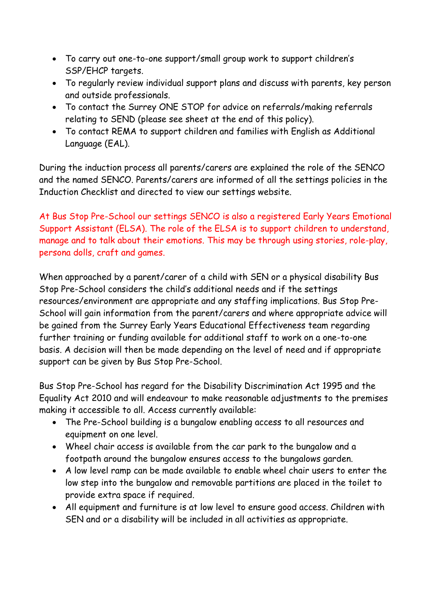- To carry out one-to-one support/small group work to support children's SSP/EHCP targets.
- To regularly review individual support plans and discuss with parents, key person and outside professionals.
- To contact the Surrey ONE STOP for advice on referrals/making referrals relating to SEND (please see sheet at the end of this policy).
- To contact REMA to support children and families with English as Additional Language (EAL).

During the induction process all parents/carers are explained the role of the SENCO and the named SENCO. Parents/carers are informed of all the settings policies in the Induction Checklist and directed to view our settings website.

At Bus Stop Pre-School our settings SENCO is also a registered Early Years Emotional Support Assistant (ELSA). The role of the ELSA is to support children to understand, manage and to talk about their emotions. This may be through using stories, role-play, persona dolls, craft and games.

When approached by a parent/carer of a child with SEN or a physical disability Bus Stop Pre-School considers the child's additional needs and if the settings resources/environment are appropriate and any staffing implications. Bus Stop Pre-School will gain information from the parent/carers and where appropriate advice will be gained from the Surrey Early Years Educational Effectiveness team regarding further training or funding available for additional staff to work on a one-to-one basis. A decision will then be made depending on the level of need and if appropriate support can be given by Bus Stop Pre-School.

Bus Stop Pre-School has regard for the Disability Discrimination Act 1995 and the Equality Act 2010 and will endeavour to make reasonable adjustments to the premises making it accessible to all. Access currently available:

- The Pre-School building is a bungalow enabling access to all resources and equipment on one level.
- Wheel chair access is available from the car park to the bungalow and a footpath around the bungalow ensures access to the bungalows garden.
- A low level ramp can be made available to enable wheel chair users to enter the low step into the bungalow and removable partitions are placed in the toilet to provide extra space if required.
- All equipment and furniture is at low level to ensure good access. Children with SEN and or a disability will be included in all activities as appropriate.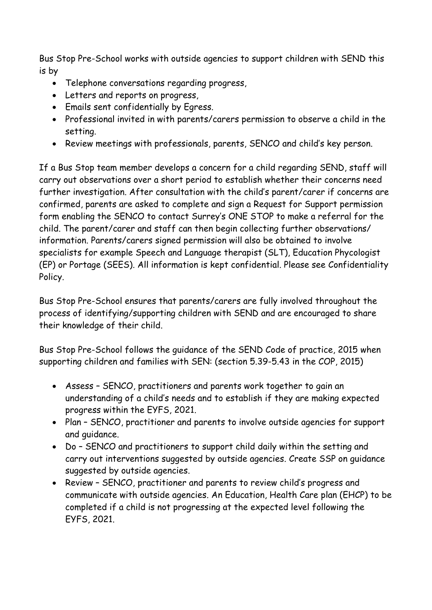Bus Stop Pre-School works with outside agencies to support children with SEND this is by

- Telephone conversations regarding progress,
- Letters and reports on progress,
- Emails sent confidentially by Egress.
- Professional invited in with parents/carers permission to observe a child in the setting.
- Review meetings with professionals, parents, SENCO and child's key person.

If a Bus Stop team member develops a concern for a child regarding SEND, staff will carry out observations over a short period to establish whether their concerns need further investigation. After consultation with the child's parent/carer if concerns are confirmed, parents are asked to complete and sign a Request for Support permission form enabling the SENCO to contact Surrey's ONE STOP to make a referral for the child. The parent/carer and staff can then begin collecting further observations/ information. Parents/carers signed permission will also be obtained to involve specialists for example Speech and Language therapist (SLT), Education Phycologist (EP) or Portage (SEES). All information is kept confidential. Please see Confidentiality Policy.

Bus Stop Pre-School ensures that parents/carers are fully involved throughout the process of identifying/supporting children with SEND and are encouraged to share their knowledge of their child.

Bus Stop Pre-School follows the guidance of the SEND Code of practice, 2015 when supporting children and families with SEN: (section 5.39-5.43 in the COP, 2015)

- Assess SENCO, practitioners and parents work together to gain an understanding of a child's needs and to establish if they are making expected progress within the EYFS, 2021.
- Plan SENCO, practitioner and parents to involve outside agencies for support and guidance.
- Do SENCO and practitioners to support child daily within the setting and carry out interventions suggested by outside agencies. Create SSP on guidance suggested by outside agencies.
- Review SENCO, practitioner and parents to review child's progress and communicate with outside agencies. An Education, Health Care plan (EHCP) to be completed if a child is not progressing at the expected level following the EYFS, 2021.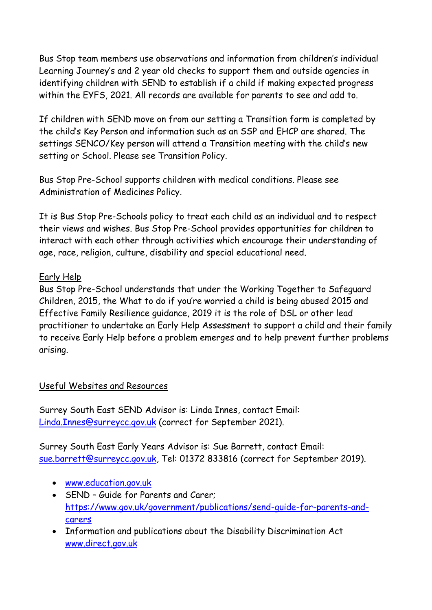Bus Stop team members use observations and information from children's individual Learning Journey's and 2 year old checks to support them and outside agencies in identifying children with SEND to establish if a child if making expected progress within the EYFS, 2021. All records are available for parents to see and add to.

If children with SEND move on from our setting a Transition form is completed by the child's Key Person and information such as an SSP and EHCP are shared. The settings SENCO/Key person will attend a Transition meeting with the child's new setting or School. Please see Transition Policy.

Bus Stop Pre-School supports children with medical conditions. Please see Administration of Medicines Policy.

It is Bus Stop Pre-Schools policy to treat each child as an individual and to respect their views and wishes. Bus Stop Pre-School provides opportunities for children to interact with each other through activities which encourage their understanding of age, race, religion, culture, disability and special educational need.

## Early Help

Bus Stop Pre-School understands that under the Working Together to Safeguard Children, 2015, the What to do if you're worried a child is being abused 2015 and Effective Family Resilience guidance, 2019 it is the role of DSL or other lead practitioner to undertake an Early Help Assessment to support a child and their family to receive Early Help before a problem emerges and to help prevent further problems arising.

## Useful Websites and Resources

Surrey South East SEND Advisor is: Linda Innes, contact Email: [Linda.Innes@surreycc.gov.uk](mailto:Linda.Innes@surreycc.gov.uk) (correct for September 2021).

Surrey South East Early Years Advisor is: Sue Barrett, contact Email: [sue.barrett@surreycc.gov.uk,](mailto:sue.barrett@surreycc.gov.uk) Tel: 01372 833816 (correct for September 2019).

- [www.education.gov.uk](http://www.education.gov.uk/)
- SEND Guide for Parents and Carer; [https://www.gov.uk/government/publications/send-guide-for-parents-and](https://www.gov.uk/government/publications/send-guide-for-parents-and-carers)[carers](https://www.gov.uk/government/publications/send-guide-for-parents-and-carers)
- Information and publications about the Disability Discrimination Act [www.direct.gov.uk](http://www.direct.gov.uk/)